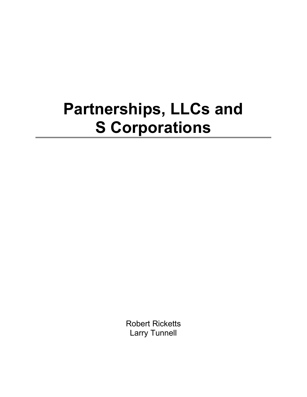## **Partnerships, LLCs and S Corporations**

Robert Ricketts Larry Tunnell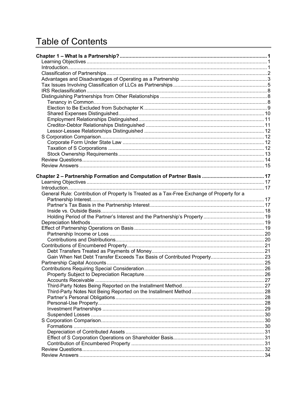## **Table of Contents**

| General Rule: Contribution of Property Is Treated as a Tax-Free Exchange of Property for a |  |
|--------------------------------------------------------------------------------------------|--|
|                                                                                            |  |
|                                                                                            |  |
|                                                                                            |  |
|                                                                                            |  |
|                                                                                            |  |
|                                                                                            |  |
|                                                                                            |  |
|                                                                                            |  |
|                                                                                            |  |
|                                                                                            |  |
|                                                                                            |  |
|                                                                                            |  |
|                                                                                            |  |
|                                                                                            |  |
|                                                                                            |  |
|                                                                                            |  |
|                                                                                            |  |
|                                                                                            |  |
|                                                                                            |  |
|                                                                                            |  |
|                                                                                            |  |
|                                                                                            |  |
|                                                                                            |  |
|                                                                                            |  |
|                                                                                            |  |
|                                                                                            |  |
|                                                                                            |  |
|                                                                                            |  |
|                                                                                            |  |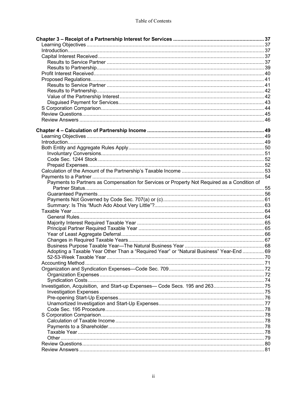| Payments to Partners as Compensation for Services or Property Not Required as a Condition of |  |
|----------------------------------------------------------------------------------------------|--|
|                                                                                              |  |
|                                                                                              |  |
|                                                                                              |  |
|                                                                                              |  |
|                                                                                              |  |
|                                                                                              |  |
|                                                                                              |  |
|                                                                                              |  |
|                                                                                              |  |
|                                                                                              |  |
|                                                                                              |  |
| Adopting a Taxable Year Other Than a "Required Year" or "Natural Business" Year-End  69      |  |
|                                                                                              |  |
|                                                                                              |  |
|                                                                                              |  |
|                                                                                              |  |
|                                                                                              |  |
|                                                                                              |  |
|                                                                                              |  |
|                                                                                              |  |
|                                                                                              |  |
|                                                                                              |  |
|                                                                                              |  |
|                                                                                              |  |
|                                                                                              |  |
|                                                                                              |  |
|                                                                                              |  |
|                                                                                              |  |
|                                                                                              |  |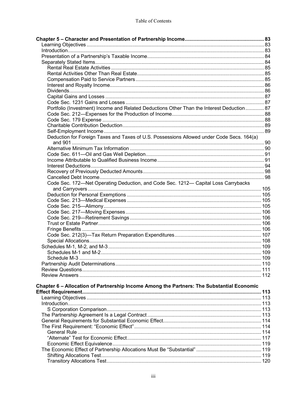| Portfolio (Investment) Income and Related Deductions Other Than the Interest Deduction  87 |  |
|--------------------------------------------------------------------------------------------|--|
|                                                                                            |  |
|                                                                                            |  |
|                                                                                            |  |
|                                                                                            |  |
| Deduction for Foreign Taxes and Taxes of U.S. Possessions Allowed under Code Secs. 164(a)  |  |
|                                                                                            |  |
|                                                                                            |  |
|                                                                                            |  |
|                                                                                            |  |
|                                                                                            |  |
|                                                                                            |  |
| Code Sec. 172-Net Operating Deduction, and Code Sec. 1212- Capital Loss Carrybacks         |  |
|                                                                                            |  |
|                                                                                            |  |
|                                                                                            |  |
|                                                                                            |  |
|                                                                                            |  |
|                                                                                            |  |
|                                                                                            |  |
|                                                                                            |  |
|                                                                                            |  |
|                                                                                            |  |
|                                                                                            |  |
|                                                                                            |  |
|                                                                                            |  |
|                                                                                            |  |
|                                                                                            |  |
|                                                                                            |  |
| Chapter 6 - Allocation of Partnership Income Among the Partners: The Substantial Economic  |  |
|                                                                                            |  |
|                                                                                            |  |
|                                                                                            |  |
|                                                                                            |  |
|                                                                                            |  |
|                                                                                            |  |
|                                                                                            |  |
|                                                                                            |  |
|                                                                                            |  |
|                                                                                            |  |
|                                                                                            |  |
|                                                                                            |  |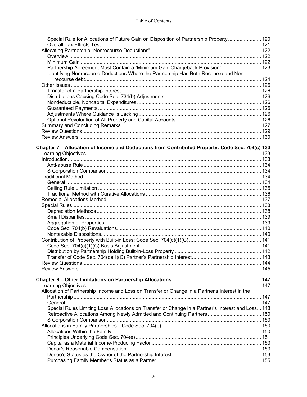| Special Rule for Allocations of Future Gain on Disposition of Partnership Property 120             |  |
|----------------------------------------------------------------------------------------------------|--|
|                                                                                                    |  |
|                                                                                                    |  |
|                                                                                                    |  |
| Partnership Agreement Must Contain a "Minimum Gain Chargeback Provision"  123                      |  |
| Identifying Nonrecourse Deductions Where the Partnership Has Both Recourse and Non-                |  |
|                                                                                                    |  |
|                                                                                                    |  |
|                                                                                                    |  |
|                                                                                                    |  |
|                                                                                                    |  |
|                                                                                                    |  |
|                                                                                                    |  |
|                                                                                                    |  |
|                                                                                                    |  |
|                                                                                                    |  |
|                                                                                                    |  |
| Chapter 7 - Allocation of Income and Deductions from Contributed Property: Code Sec. 704(c) 133    |  |
|                                                                                                    |  |
|                                                                                                    |  |
|                                                                                                    |  |
|                                                                                                    |  |
|                                                                                                    |  |
|                                                                                                    |  |
|                                                                                                    |  |
|                                                                                                    |  |
|                                                                                                    |  |
|                                                                                                    |  |
|                                                                                                    |  |
|                                                                                                    |  |
|                                                                                                    |  |
|                                                                                                    |  |
|                                                                                                    |  |
|                                                                                                    |  |
|                                                                                                    |  |
|                                                                                                    |  |
|                                                                                                    |  |
|                                                                                                    |  |
|                                                                                                    |  |
|                                                                                                    |  |
|                                                                                                    |  |
|                                                                                                    |  |
| Allocation of Partnership Income and Loss on Transfer or Change in a Partner's Interest in the     |  |
|                                                                                                    |  |
|                                                                                                    |  |
| Special Rules Limiting Loss Allocations on Transfer or Change in a Partner's Interest and Loss 148 |  |
|                                                                                                    |  |
|                                                                                                    |  |
|                                                                                                    |  |
|                                                                                                    |  |
|                                                                                                    |  |
|                                                                                                    |  |
|                                                                                                    |  |
|                                                                                                    |  |
|                                                                                                    |  |
|                                                                                                    |  |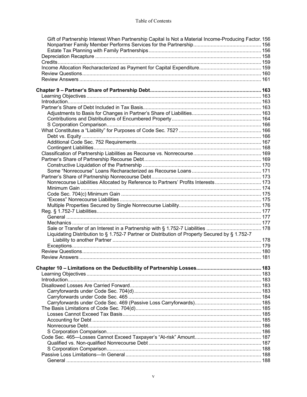| Gift of Partnership Interest When Partnership Capital Is Not a Material Income-Producing Factor. 156 |  |
|------------------------------------------------------------------------------------------------------|--|
|                                                                                                      |  |
|                                                                                                      |  |
|                                                                                                      |  |
|                                                                                                      |  |
|                                                                                                      |  |
|                                                                                                      |  |
|                                                                                                      |  |
|                                                                                                      |  |
|                                                                                                      |  |
|                                                                                                      |  |
|                                                                                                      |  |
|                                                                                                      |  |
|                                                                                                      |  |
|                                                                                                      |  |
|                                                                                                      |  |
|                                                                                                      |  |
|                                                                                                      |  |
|                                                                                                      |  |
|                                                                                                      |  |
|                                                                                                      |  |
|                                                                                                      |  |
|                                                                                                      |  |
|                                                                                                      |  |
| Nonrecourse Liabilities Allocated by Reference to Partners' Profits Interests 173                    |  |
|                                                                                                      |  |
|                                                                                                      |  |
|                                                                                                      |  |
|                                                                                                      |  |
|                                                                                                      |  |
|                                                                                                      |  |
|                                                                                                      |  |
| Sale or Transfer of an Interest in a Partnership with § 1.752-7 Liabilities  178                     |  |
| Liquidating Distribution to § 1.752-7 Partner or Distribution of Property Secured by § 1.752-7       |  |
|                                                                                                      |  |
|                                                                                                      |  |
|                                                                                                      |  |
|                                                                                                      |  |
|                                                                                                      |  |
|                                                                                                      |  |
|                                                                                                      |  |
|                                                                                                      |  |
|                                                                                                      |  |
|                                                                                                      |  |
|                                                                                                      |  |
|                                                                                                      |  |
|                                                                                                      |  |
|                                                                                                      |  |
|                                                                                                      |  |
|                                                                                                      |  |
|                                                                                                      |  |
|                                                                                                      |  |
|                                                                                                      |  |
|                                                                                                      |  |
|                                                                                                      |  |
|                                                                                                      |  |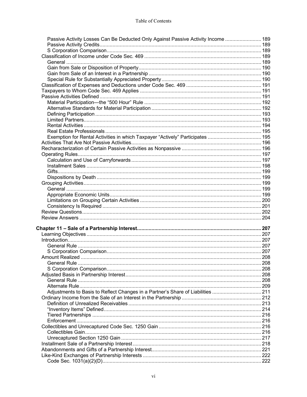| Passive Activity Losses Can Be Deducted Only Against Passive Activity Income  189 |  |
|-----------------------------------------------------------------------------------|--|
|                                                                                   |  |
|                                                                                   |  |
|                                                                                   |  |
|                                                                                   |  |
|                                                                                   |  |
|                                                                                   |  |
|                                                                                   |  |
|                                                                                   |  |
|                                                                                   |  |
|                                                                                   |  |
|                                                                                   |  |
|                                                                                   |  |
|                                                                                   |  |
|                                                                                   |  |
|                                                                                   |  |
|                                                                                   |  |
| Exemption for Rental Activities in which Taxpayer "Actively" Participates  195    |  |
|                                                                                   |  |
|                                                                                   |  |
|                                                                                   |  |
|                                                                                   |  |
|                                                                                   |  |
|                                                                                   |  |
|                                                                                   |  |
|                                                                                   |  |
|                                                                                   |  |
|                                                                                   |  |
|                                                                                   |  |
|                                                                                   |  |
|                                                                                   |  |
|                                                                                   |  |
|                                                                                   |  |
|                                                                                   |  |
|                                                                                   |  |
|                                                                                   |  |
|                                                                                   |  |
|                                                                                   |  |
|                                                                                   |  |
|                                                                                   |  |
|                                                                                   |  |
|                                                                                   |  |
|                                                                                   |  |
|                                                                                   |  |
| Adjustments to Basis to Reflect Changes in a Partner's Share of Liabilities  211  |  |
|                                                                                   |  |
|                                                                                   |  |
|                                                                                   |  |
|                                                                                   |  |
|                                                                                   |  |
|                                                                                   |  |
|                                                                                   |  |
|                                                                                   |  |
|                                                                                   |  |
|                                                                                   |  |
|                                                                                   |  |
|                                                                                   |  |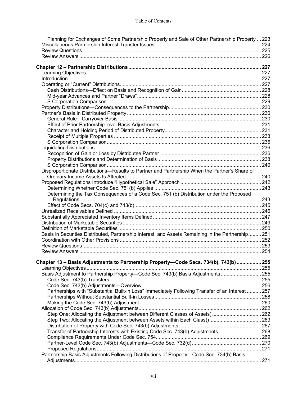| Planning for Exchanges of Some Partnership Property and Sale of Other Partnership Property  223    |  |
|----------------------------------------------------------------------------------------------------|--|
|                                                                                                    |  |
|                                                                                                    |  |
|                                                                                                    |  |
|                                                                                                    |  |
|                                                                                                    |  |
|                                                                                                    |  |
|                                                                                                    |  |
|                                                                                                    |  |
|                                                                                                    |  |
|                                                                                                    |  |
|                                                                                                    |  |
|                                                                                                    |  |
|                                                                                                    |  |
|                                                                                                    |  |
|                                                                                                    |  |
|                                                                                                    |  |
|                                                                                                    |  |
|                                                                                                    |  |
|                                                                                                    |  |
|                                                                                                    |  |
|                                                                                                    |  |
|                                                                                                    |  |
| Disproportionate Distributions-Results to Partner and Partnership When the Partner's Share of      |  |
|                                                                                                    |  |
|                                                                                                    |  |
|                                                                                                    |  |
| Determining the Tax Consequences of a Code Sec. 751 (b) Distribution under the Proposed            |  |
|                                                                                                    |  |
|                                                                                                    |  |
|                                                                                                    |  |
|                                                                                                    |  |
|                                                                                                    |  |
|                                                                                                    |  |
| Basis in Securities Distributed, Partnership Interest, and Assets Remaining in the Partnership 251 |  |
|                                                                                                    |  |
|                                                                                                    |  |
|                                                                                                    |  |
|                                                                                                    |  |
| Chapter 13 – Basis Adjustments to Partnership Property—Code Secs. 734(b), 743(b)  255              |  |
|                                                                                                    |  |
| Basis Adjustment to Partnership Property-Code Sec. 743(b) Basis Adjustments 255                    |  |
|                                                                                                    |  |
|                                                                                                    |  |
| Partnerships with "Substantial Built-in Loss" Immediately Following Transfer of an Interest  257   |  |
|                                                                                                    |  |
|                                                                                                    |  |
|                                                                                                    |  |
| Step One: Allocating the Adjustment between Different Classes of Assets) 262                       |  |
|                                                                                                    |  |
|                                                                                                    |  |
| Transfer of Partnership Interests with Existing Code Sec. 743(b) Adjustments 268                   |  |
|                                                                                                    |  |
|                                                                                                    |  |
|                                                                                                    |  |
| Partnership Basis Adjustments Following Distributions of Property-Code Sec. 734(b) Basis           |  |
|                                                                                                    |  |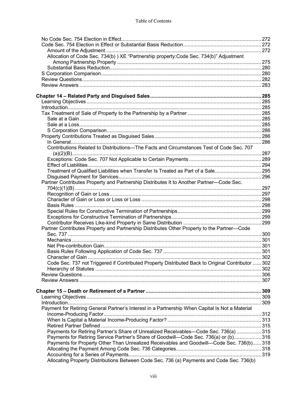| Allocation of Code Sec. 734(b) ) XE "Partnership property: Code Sec. 734(b)" Adjustment           |  |
|---------------------------------------------------------------------------------------------------|--|
|                                                                                                   |  |
|                                                                                                   |  |
|                                                                                                   |  |
|                                                                                                   |  |
|                                                                                                   |  |
|                                                                                                   |  |
|                                                                                                   |  |
|                                                                                                   |  |
|                                                                                                   |  |
|                                                                                                   |  |
|                                                                                                   |  |
|                                                                                                   |  |
|                                                                                                   |  |
|                                                                                                   |  |
| Contributions Related to Distributions-The Facts and Circumstances Test of Code Sec. 707          |  |
|                                                                                                   |  |
|                                                                                                   |  |
|                                                                                                   |  |
| Treatment of Qualified Liabilities when Transfer Is Treated as Part of a Sale295                  |  |
|                                                                                                   |  |
| Partner Contributes Property and Partnership Distributes It to Another Partner-Code Sec.          |  |
|                                                                                                   |  |
|                                                                                                   |  |
|                                                                                                   |  |
|                                                                                                   |  |
|                                                                                                   |  |
|                                                                                                   |  |
|                                                                                                   |  |
| Partner Contributes Property and Partnership Distributes Other Property to the Partner-Code       |  |
|                                                                                                   |  |
|                                                                                                   |  |
|                                                                                                   |  |
|                                                                                                   |  |
|                                                                                                   |  |
| Code Sec. 737 not Triggered if Contributed Property Distributed Back to Original Contributor  302 |  |
|                                                                                                   |  |
|                                                                                                   |  |
|                                                                                                   |  |
|                                                                                                   |  |
|                                                                                                   |  |
|                                                                                                   |  |
| Payment for Retiring General Partner's Interest in a Partnership When Capital Is Not a Material   |  |
|                                                                                                   |  |
|                                                                                                   |  |
|                                                                                                   |  |
| Payments for Retiring Partner's Share of Unrealized Receivables—Code Sec. 736(a) 315              |  |
| Payments for Retiring Service Partner's Share of Goodwill—Code Sec. 736(a) or (b) 316             |  |
| Payments for Property Other Than Unrealized Receivables and Goodwill—Code Sec. 736(b) 318         |  |
|                                                                                                   |  |
|                                                                                                   |  |
| Allocating Property Distributions Between Code Sec. 736 (a) Payments and Code Sec. 736(b)         |  |